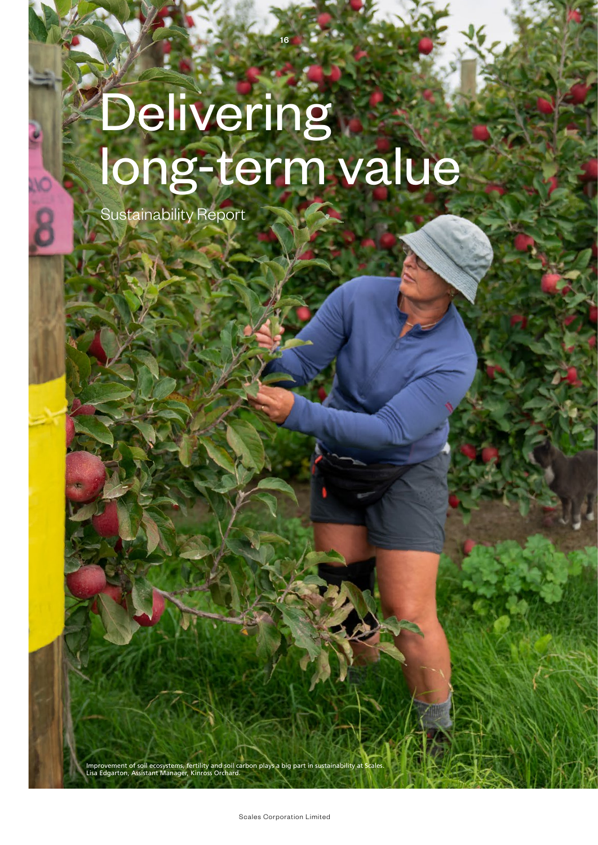# Delivering long-term value

16

Sustainability Report

Improvement of soil ecosystems, fertility and soil carbon plays a big part in sustainability at Scales. Lisa Edgarton, Assistant Manager, Kinross Orchard.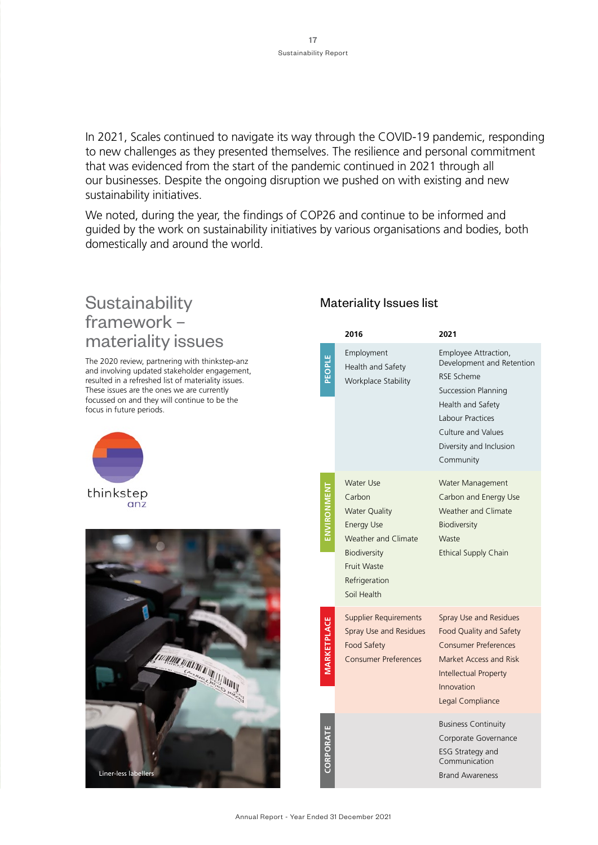In 2021, Scales continued to navigate its way through the COVID-19 pandemic, responding to new challenges as they presented themselves. The resilience and personal commitment that was evidenced from the start of the pandemic continued in 2021 through all our businesses. Despite the ongoing disruption we pushed on with existing and new sustainability initiatives.

We noted, during the year, the findings of COP26 and continue to be informed and guided by the work on sustainability initiatives by various organisations and bodies, both domestically and around the world.

## **Sustainability** framework – materiality issues

The 2020 review, partnering with thinkstep-anz and involving updated stakeholder engagement, resulted in a refreshed list of materiality issues. These issues are the ones we are currently focussed on and they will continue to be the focus in future periods.





#### Materiality Issues list

|                | 2016                                                                                                                                                                 | 2021                                                                                                                                                                                                        |
|----------------|----------------------------------------------------------------------------------------------------------------------------------------------------------------------|-------------------------------------------------------------------------------------------------------------------------------------------------------------------------------------------------------------|
|                | Employment<br>Health and Safety<br>Workplace Stability                                                                                                               | Employee Attraction,<br>Development and Retention<br><b>RSE Scheme</b><br><b>Succession Planning</b><br>Health and Safety<br>Labour Practices<br>Culture and Values<br>Diversity and Inclusion<br>Community |
|                | <b>Water Use</b><br>Carbon<br><b>Water Quality</b><br><b>Energy Use</b><br>Weather and Climate<br>Biodiversity<br><b>Fruit Waste</b><br>Refrigeration<br>Soil Health | Water Management<br>Carbon and Energy Use<br><b>Weather and Climate</b><br>Biodiversity<br>Waste<br><b>Ethical Supply Chain</b>                                                                             |
| <b>ETPLACE</b> | <b>Supplier Requirements</b><br>Spray Use and Residues<br><b>Food Safety</b><br><b>Consumer Preferences</b>                                                          | Spray Use and Residues<br>Food Quality and Safety<br><b>Consumer Preferences</b><br>Market Access and Risk<br>Intellectual Property<br>Innovation<br>Legal Compliance                                       |
| CORPORATE      |                                                                                                                                                                      | <b>Business Continuity</b><br>Corporate Governance<br><b>ESG Strategy and</b><br>Communication<br><b>Brand Awareness</b>                                                                                    |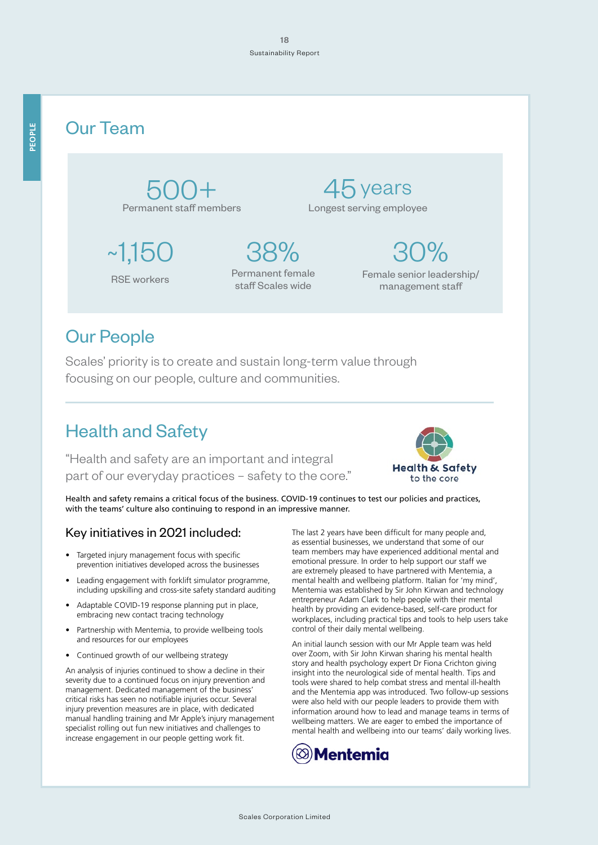## Our Team

500+ Permanent staff members

~1,150 38% RSE workers Permanent female staff Scales wide

45 years Longest serving employee

> Female senior leadership/ management staff

 $30\%$ 

# Our People

Scales' priority is to create and sustain long-term value through focusing on our people, culture and communities.

# Health and Safety

"Health and safety are an important and integral part of our everyday practices – safety to the core."



Health and safety remains a critical focus of the business. COVID-19 continues to test our policies and practices, with the teams' culture also continuing to respond in an impressive manner.

#### Key initiatives in 2021 included:

- Targeted injury management focus with specific prevention initiatives developed across the businesses
- Leading engagement with forklift simulator programme, including upskilling and cross-site safety standard auditing
- Adaptable COVID-19 response planning put in place, embracing new contact tracing technology
- Partnership with Mentemia, to provide wellbeing tools and resources for our employees
- Continued growth of our wellbeing strategy

An analysis of injuries continued to show a decline in their severity due to a continued focus on injury prevention and management. Dedicated management of the business' critical risks has seen no notifiable injuries occur. Several injury prevention measures are in place, with dedicated manual handling training and Mr Apple's injury management specialist rolling out fun new initiatives and challenges to increase engagement in our people getting work fit.

The last 2 years have been difficult for many people and, as essential businesses, we understand that some of our team members may have experienced additional mental and emotional pressure. In order to help support our staff we are extremely pleased to have partnered with Mentemia, a mental health and wellbeing platform. Italian for 'my mind', Mentemia was established by Sir John Kirwan and technology entrepreneur Adam Clark to help people with their mental health by providing an evidence-based, self-care product for workplaces, including practical tips and tools to help users take control of their daily mental wellbeing.

An initial launch session with our Mr Apple team was held over Zoom, with Sir John Kirwan sharing his mental health story and health psychology expert Dr Fiona Crichton giving insight into the neurological side of mental health. Tips and tools were shared to help combat stress and mental ill-health and the Mentemia app was introduced. Two follow-up sessions were also held with our people leaders to provide them with information around how to lead and manage teams in terms of wellbeing matters. We are eager to embed the importance of mental health and wellbeing into our teams' daily working lives.

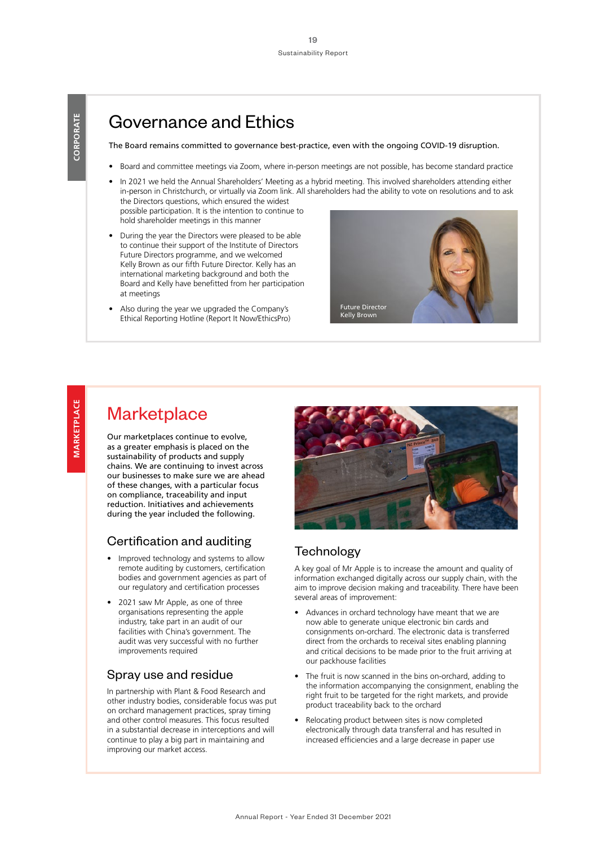## Governance and Ethics

The Board remains committed to governance best-practice, even with the ongoing COVID-19 disruption.

- Board and committee meetings via Zoom, where in-person meetings are not possible, has become standard practice
- In 2021 we held the Annual Shareholders' Meeting as a hybrid meeting. This involved shareholders attending either in-person in Christchurch, or virtually via Zoom link. All shareholders had the ability to vote on resolutions and to ask the Directors questions, which ensured the widest possible participation. It is the intention to continue to

hold shareholder meetings in this manner

- During the year the Directors were pleased to be able to continue their support of the Institute of Directors Future Directors programme, and we welcomed Kelly Brown as our fifth Future Director. Kelly has an international marketing background and both the Board and Kelly have benefitted from her participation at meetings
- Also during the year we upgraded the Company's Ethical Reporting Hotline (Report It Now/EthicsPro)



## **Marketplace**

Our marketplaces continue to evolve, as a greater emphasis is placed on the sustainability of products and supply chains. We are continuing to invest across our businesses to make sure we are ahead of these changes, with a particular focus on compliance, traceability and input reduction. Initiatives and achievements during the year included the following.

#### Certification and auditing

- Improved technology and systems to allow remote auditing by customers, certification bodies and government agencies as part of our regulatory and certification processes
- 2021 saw Mr Apple, as one of three organisations representing the apple industry, take part in an audit of our facilities with China's government. The audit was very successful with no further improvements required

#### Spray use and residue

In partnership with Plant & Food Research and other industry bodies, considerable focus was put on orchard management practices, spray timing and other control measures. This focus resulted in a substantial decrease in interceptions and will continue to play a big part in maintaining and improving our market access.



#### **Technology**

A key goal of Mr Apple is to increase the amount and quality of information exchanged digitally across our supply chain, with the aim to improve decision making and traceability. There have been several areas of improvement:

- Advances in orchard technology have meant that we are now able to generate unique electronic bin cards and consignments on-orchard. The electronic data is transferred direct from the orchards to receival sites enabling planning and critical decisions to be made prior to the fruit arriving at our packhouse facilities
- The fruit is now scanned in the bins on-orchard, adding to the information accompanying the consignment, enabling the right fruit to be targeted for the right markets, and provide product traceability back to the orchard
- Relocating product between sites is now completed electronically through data transferral and has resulted in increased efficiencies and a large decrease in paper use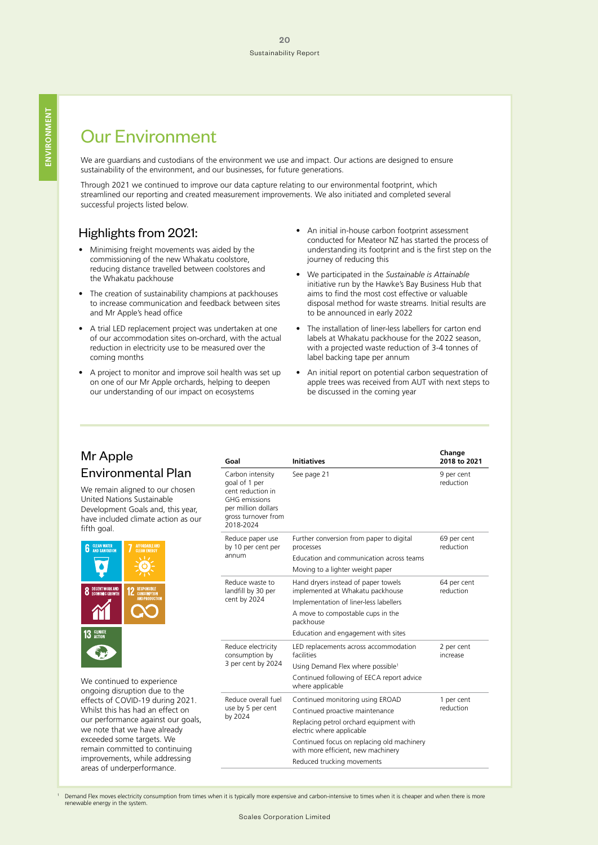# Our Environment

We are guardians and custodians of the environment we use and impact. Our actions are designed to ensure sustainability of the environment, and our businesses, for future generations.

Through 2021 we continued to improve our data capture relating to our environmental footprint, which streamlined our reporting and created measurement improvements. We also initiated and completed several successful projects listed below.

#### Highlights from 2021:

- Minimising freight movements was aided by the commissioning of the new Whakatu coolstore, reducing distance travelled between coolstores and the Whakatu packhouse
- The creation of sustainability champions at packhouses to increase communication and feedback between sites and Mr Apple's head office
- A trial LED replacement project was undertaken at one of our accommodation sites on-orchard, with the actual reduction in electricity use to be measured over the coming months
- A project to monitor and improve soil health was set up on one of our Mr Apple orchards, helping to deepen our understanding of our impact on ecosystems
- An initial in-house carbon footprint assessment conducted for Meateor NZ has started the process of understanding its footprint and is the first step on the journey of reducing this
- We participated in the *Sustainable is Attainable* initiative run by the Hawke's Bay Business Hub that aims to find the most cost effective or valuable disposal method for waste streams. Initial results are to be announced in early 2022
- The installation of liner-less labellers for carton end labels at Whakatu packhouse for the 2022 season, with a projected waste reduction of 3-4 tonnes of label backing tape per annum
- An initial report on potential carbon sequestration of apple trees was received from AUT with next steps to be discussed in the coming year

#### Mr Apple Environmental Plan

We remain aligned to our chosen United Nations Sustainable Development Goals and, this year, have included climate action as our fifth goal.



We continued to experience ongoing disruption due to the effects of COVID-19 during 2021. Whilst this has had an effect on our performance against our goals, we note that we have already exceeded some targets. We remain committed to continuing improvements, while addressing areas of underperformance.

| Goal                                                                                                                                      | <b>Initiatives</b>                                                                                                                                                                                                                                            | Change<br>2018 to 2021   |
|-------------------------------------------------------------------------------------------------------------------------------------------|---------------------------------------------------------------------------------------------------------------------------------------------------------------------------------------------------------------------------------------------------------------|--------------------------|
| Carbon intensity<br>goal of 1 per<br>cent reduction in<br><b>GHG</b> emissions<br>per million dollars<br>gross turnover from<br>2018-2024 | See page 21                                                                                                                                                                                                                                                   | 9 per cent<br>reduction  |
| Reduce paper use<br>by 10 per cent per<br>annum                                                                                           | Further conversion from paper to digital<br>processes<br>Education and communication across teams<br>Moving to a lighter weight paper                                                                                                                         | 69 per cent<br>reduction |
| Reduce waste to<br>landfill by 30 per<br>cent by 2024                                                                                     | Hand dryers instead of paper towels<br>implemented at Whakatu packhouse<br>Implementation of liner-less labellers<br>A move to compostable cups in the<br>packhouse<br>Education and engagement with sites                                                    | 64 per cent<br>reduction |
| Reduce electricity<br>consumption by<br>3 per cent by 2024                                                                                | LED replacements across accommodation<br>facilities<br>Using Demand Flex where possible <sup>1</sup><br>Continued following of EECA report advice<br>where applicable                                                                                         | 2 per cent<br>increase   |
| Reduce overall fuel<br>use by 5 per cent<br>by 2024                                                                                       | Continued monitoring using EROAD<br>Continued proactive maintenance<br>Replacing petrol orchard equipment with<br>electric where applicable<br>Continued focus on replacing old machinery<br>with more efficient, new machinery<br>Reduced trucking movements | 1 per cent<br>reduction  |

 Demand Flex moves electricity consumption from times when it is typically more expensive and carbon-intensive to times when it is cheaper and when there is more renewable energy in the system.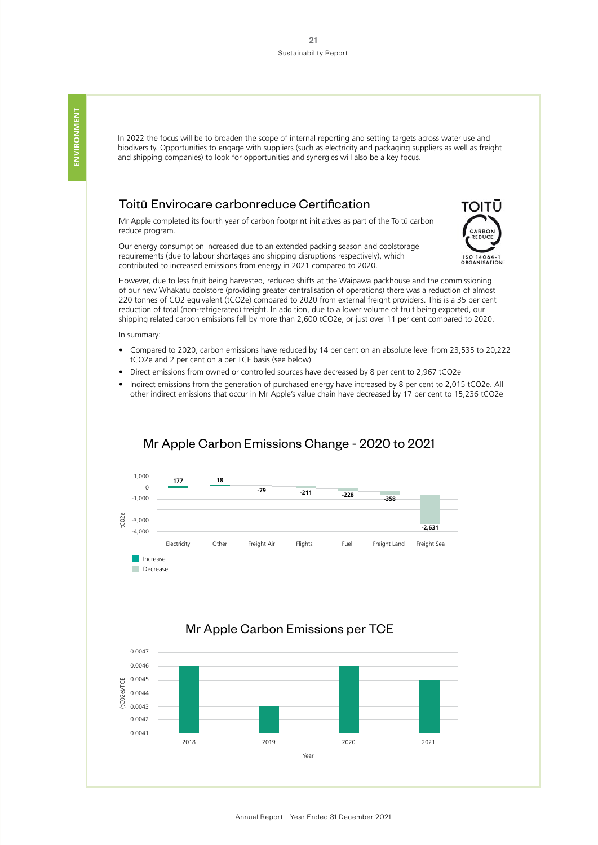In 2022 the focus will be to broaden the scope of internal reporting and setting targets across water use and biodiversity. Opportunities to engage with suppliers (such as electricity and packaging suppliers as well as freight and shipping companies) to look for opportunities and synergies will also be a key focus.

#### Toitu- Envirocare carbonreduce Certification

Mr Apple completed its fourth year of carbon footprint initiatives as part of the Toitū carbon reduce program.

Our energy consumption increased due to an extended packing season and coolstorage requirements (due to labour shortages and shipping disruptions respectively), which contributed to increased emissions from energy in 2021 compared to 2020.



However, due to less fruit being harvested, reduced shifts at the Waipawa packhouse and the commissioning of our new Whakatu coolstore (providing greater centralisation of operations) there was a reduction of almost 220 tonnes of CO2 equivalent (tCO2e) compared to 2020 from external freight providers. This is a 35 per cent reduction of total (non-refrigerated) freight. In addition, due to a lower volume of fruit being exported, our shipping related carbon emissions fell by more than 2,600 tCO2e, or just over 11 per cent compared to 2020.

In summary:

- Compared to 2020, carbon emissions have reduced by 14 per cent on an absolute level from 23,535 to 20,222 tCO2e and 2 per cent on a per TCE basis (see below)
- Direct emissions from owned or controlled sources have decreased by 8 per cent to 2,967 tCO2e
- Indirect emissions from the generation of purchased energy have increased by 8 per cent to 2,015 tCO2e. All other indirect emissions that occur in Mr Apple's value chain have decreased by 17 per cent to 15,236 tCO2e



#### Mr Apple Carbon Emissions Change - 2020 to 2021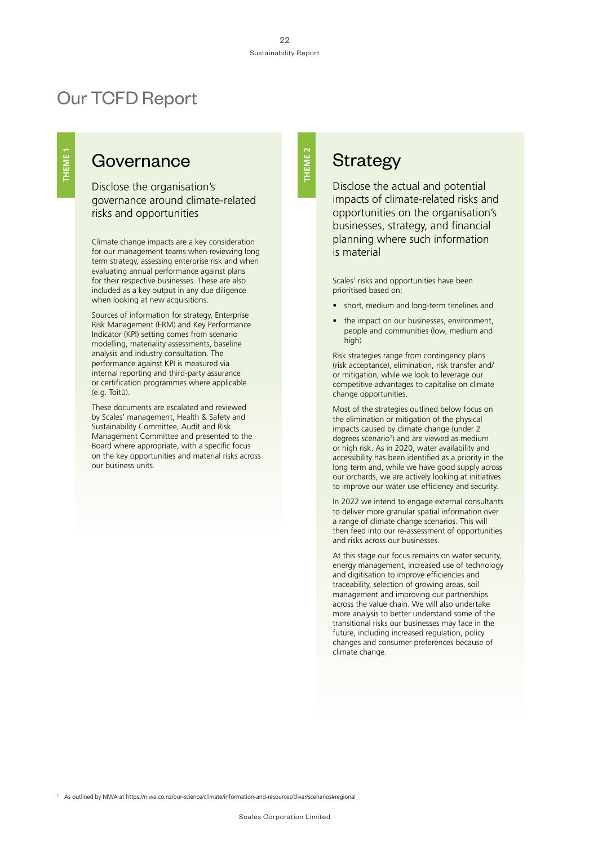**THEME 2**

**THEME 2** 

# Our TCFD Report

### Governance

Disclose the organisation's governance around climate-related risks and opportunities

Climate change impacts are a key consideration for our management teams when reviewing long term strategy, assessing enterprise risk and when evaluating annual performance against plans for their respective businesses. These are also included as a key output in any due diligence when looking at new acquisitions.

Sources of information for strategy, Enterprise Risk Management (ERM) and Key Performance Indicator (KPI) setting comes from scenario modelling, materiality assessments, baseline analysis and industry consultation. The performance against KPI is measured via internal reporting and third-party assurance or certification programmes where applicable (e.g. Toitū).

These documents are escalated and reviewed by Scales' management, Health & Safety and Sustainability Committee, Audit and Risk Management Committee and presented to the Board where appropriate, with a specific focus on the key opportunities and material risks across our business units.

## **Strategy**

Disclose the actual and potential impacts of climate-related risks and opportunities on the organisation's businesses, strategy, and financial planning where such information is material

Scales' risks and opportunities have been prioritised based on:

- short, medium and long-term timelines and
- the impact on our businesses, environment, people and communities (low, medium and high)

Risk strategies range from contingency plans (risk acceptance), elimination, risk transfer and/ or mitigation, while we look to leverage our competitive advantages to capitalise on climate change opportunities.

Most of the strategies outlined below focus on the elimination or mitigation of the physical impacts caused by climate change (under 2 degrees scenario<sup>1</sup>) and are viewed as medium or high risk. As in 2020, water availability and accessibility has been identified as a priority in the long term and, while we have good supply across our orchards, we are actively looking at initiatives to improve our water use efficiency and security.

In 2022 we intend to engage external consultants to deliver more granular spatial information over a range of climate change scenarios. This will then feed into our re-assessment of opportunities and risks across our businesses.

At this stage our focus remains on water security, energy management, increased use of technology and digitisation to improve efficiencies and traceability, selection of growing areas, soil management and improving our partnerships across the value chain. We will also undertake more analysis to better understand some of the transitional risks our businesses may face in the future, including increased regulation, policy changes and consumer preferences because of climate change.

1 As outlined by NIWA at https://niwa.co.nz/our-science/climate/information-and-resources/clivar/scenarios#regional